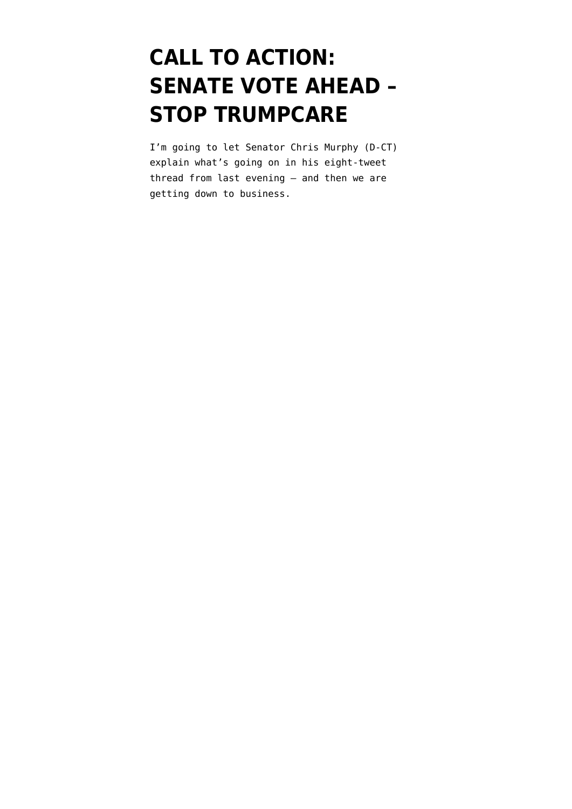# **[CALL TO ACTION:](https://www.emptywheel.net/2017/07/24/call-to-action-senate-vote-ahead-stop-trumpcare/) [SENATE VOTE AHEAD –](https://www.emptywheel.net/2017/07/24/call-to-action-senate-vote-ahead-stop-trumpcare/) [STOP TRUMPCARE](https://www.emptywheel.net/2017/07/24/call-to-action-senate-vote-ahead-stop-trumpcare/)**

I'm going to let Senator Chris Murphy (D-CT) explain what's going on in his eight-tweet thread from last evening — and then we are getting down to business.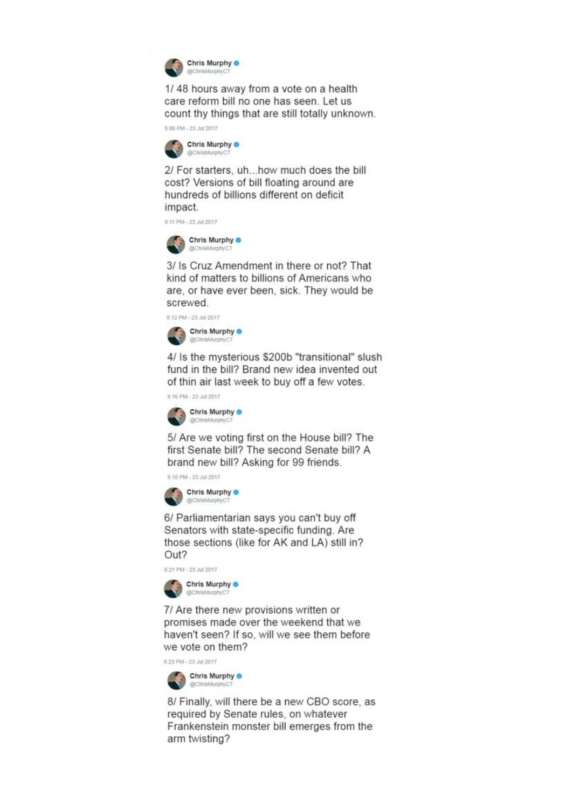

1/48 hours away from a vote on a health care reform bill no one has seen. Let us count thy things that are still totally unknown.

8:06 PM - 23 Jul 2017



2/ For starters, uh...how much does the bill cost? Versions of bill floating around are hundreds of billions different on deficit impact.

8:11 PM - 23 Jul 2017



3/ Is Cruz Amendment in there or not? That kind of matters to billions of Americans who are, or have ever been, sick. They would be screwed.

8:12 PM - 23 Jul 2017



4/ Is the mysterious \$200b "transitional" slush fund in the bill? Brand new idea invented out of thin air last week to buy off a few votes.

8:16 PM - 23 Jul 2017



5/ Are we voting first on the House bill? The first Senate bill? The second Senate bill? A brand new bill? Asking for 99 friends.

8:18 PM - 23 Jul 2017



6/ Parliamentarian says you can't buy off Senators with state-specific funding. Are those sections (like for AK and LA) still in? Out?

8:21 PM - 23 Jul 2017



7/ Are there new provisions written or promises made over the weekend that we haven't seen? If so, will we see them before we vote on them?

8:23 PM - 23 Jul 2017



8/ Finally, will there be a new CBO score, as required by Senate rules, on whatever Frankenstein monster bill emerges from the arm twisting?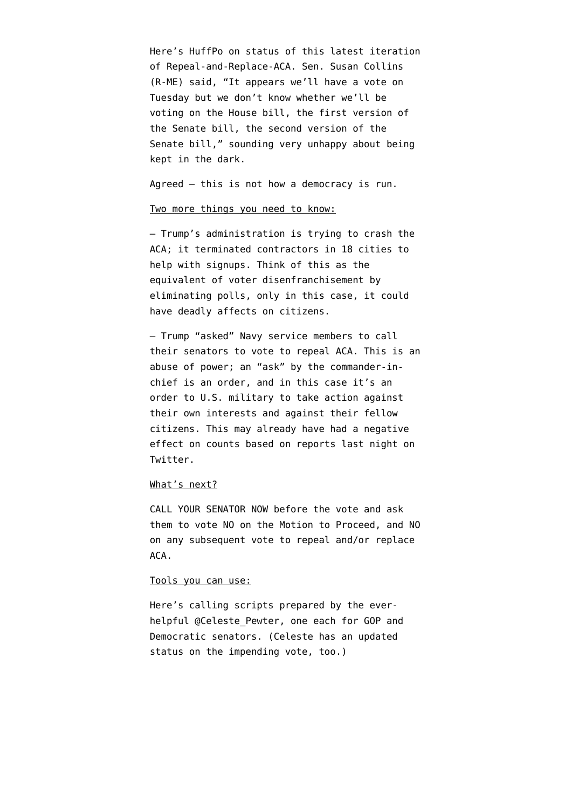Here's HuffPo on [status of this latest iteration](http://www.huffingtonpost.com/entry/republican-strategy-on-health-care-bill-in-flux-ahead-of-vote_us_59757025e4b09e5f6cd05a1c) [of Repeal-and-Replace-ACA.](http://www.huffingtonpost.com/entry/republican-strategy-on-health-care-bill-in-flux-ahead-of-vote_us_59757025e4b09e5f6cd05a1c) Sen. Susan Collins (R-ME) said, "It appears we'll have a vote on Tuesday but we don't know whether we'll be voting on the House bill, the first version of the Senate bill, the second version of the Senate bill," sounding very unhappy about being kept in the dark.

Agreed — this is not how a democracy is run.

#### Two more things you need to know:

— Trump's administration is trying to crash the ACA; [it terminated contractors in 18 cities to](http://www.cnbc.com/2017/07/20/trump-administration-scraps-obamacare-signup-assistance-in-18-cities.html) [help with signups.](http://www.cnbc.com/2017/07/20/trump-administration-scraps-obamacare-signup-assistance-in-18-cities.html) Think of this as the equivalent of voter disenfranchisement by eliminating polls, only in this case, it could have deadly affects on citizens.

— [Trump "asked" Navy service members to call](http://www.huffingtonpost.com/entry/donald-trump-commissioning-ceremony-uss-gerald-ford-political_us_5973f79ae4b0e79ec199b21c) [their senators](http://www.huffingtonpost.com/entry/donald-trump-commissioning-ceremony-uss-gerald-ford-political_us_5973f79ae4b0e79ec199b21c) to vote to repeal ACA. This is an abuse of power; an "ask" by the commander-inchief is an order, and in this case it's an order to U.S. military to take action against their own interests and against their fellow citizens. This may already have had a negative effect on counts based on reports last night on Twitter.

### What's next?

CALL YOUR SENATOR NOW before the vote and ask them to vote NO on the Motion to Proceed, and NO on any subsequent vote to repeal and/or replace ACA.

#### Tools you can use:

Here's calling scripts prepared by the everhelpful @Celeste Pewter, one each for GOP and Democratic senators. (Celeste has [an updated](https://twitter.com/Celeste_pewter/status/889531986091442176) [status](https://twitter.com/Celeste_pewter/status/889531986091442176) on the impending vote, too.)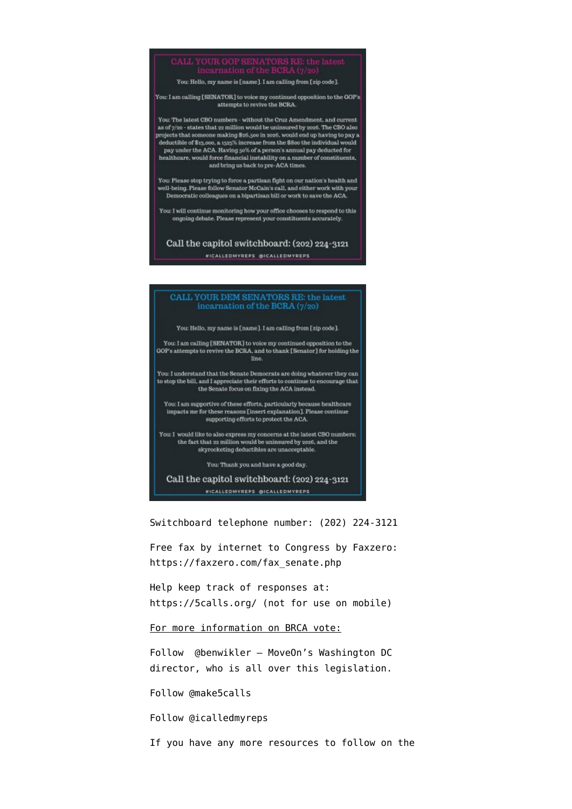## YOUR GOP SENATORS RE<br>incarnation of the BCRA (7

You: Hello, my name is Iname 1. I am calling from I zin code 1.

You: I am calling [SENATOR] to voice my continued opposition to the GOP's attempts to revive the BCRA.

You: The latest CBO numbers - without the Cruz Amendment, and current as of  $\eta$ /20 - states that 22 million would be uninsured by 2026. The CBO also projects that someone making \$26,500 in 2026, would end up having to pay a deductible of \$13,000, a 1525% increase from the \$800 the individual would pay under the ACA. Having  $50\%$  of a person's annual pay deducted for healthcare, would force financial instability on a number of constituents, and bring us back to pre-ACA times

You: Please stop trying to force a partisan fight on our nation's health and well-being. Please follow Senator McCain's call, and either work with your Democratic colleagues on a bipartisan bill or work to save the ACA.

You: I will continue monitoring how your office chooses to respond to this ongoing debate. Please represent your constituents accurately.

Call the capitol switchboard: (202) 224-3121

*WICALLEDMYREPS @ICALLEDMYREPS* 

#### CALL YOUR DEM SENATORS RE: the latest incarnation of the BCRA (7/20)

You: Hello, my name is f name 1.1 am calling from f zin code 1.

You: I am calling [SENATOR] to voice my continued opposition to the GOP's attempts to revive the BCRA, and to thank [Senator] for holding the line.

You: I understand that the Senate Democrats are doing whatever they can to stop the bill, and I appreciate their efforts to continue to encourage that the Senate focus on fixing the ACA instead.

You: I am supportive of these efforts, particularly because healthcare<br>impacts me for these reasons [insert explanation]. Please continue supporting efforts to protect the ACA.

You: I would like to also express my concerns at the latest CBO numbers; the fact that 22 million would be uninsured by 2026, and the skyrocketing deductibles are unacceptable.

You: Thank you and have a good day.

Call the capitol switchboard: (202) 224-3121 **WICALLEDMYREPS @ICALLEDMYREPS** 

Switchboard telephone number: (202) 224-3121

Free fax by internet to Congress by Faxzero: [https://faxzero.com/fax\\_senate.php](https://faxzero.com/fax_senate.php)

Help keep track of responses at: <https://5calls.org/> (not for use on mobile)

For more information on BRCA vote:

Follow [@benwikler](https://twitter.com/benwikler) – MoveOn's Washington DC director, who is all over this legislation.

Follow [@make5calls](https://twitter.com/make5calls)

Follow [@icalledmyreps](https://twitter.com/icalledmyreps)

If you have any more resources to follow on the